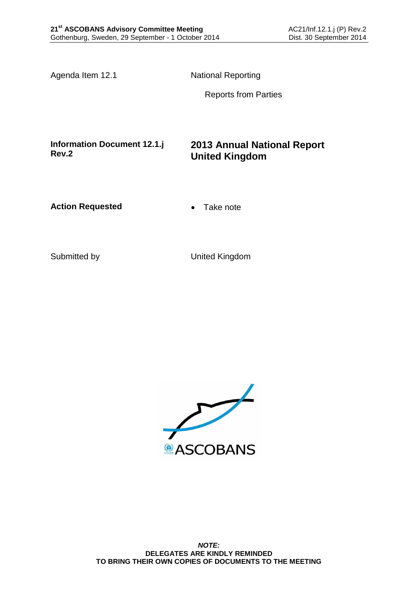Agenda Item 12.1 National Reporting

Reports from Parties

**Information Document 12.1.j Rev.2**

### **2013 Annual National Report United Kingdom**

**Action Requested • Take note** 

Submitted by United Kingdom

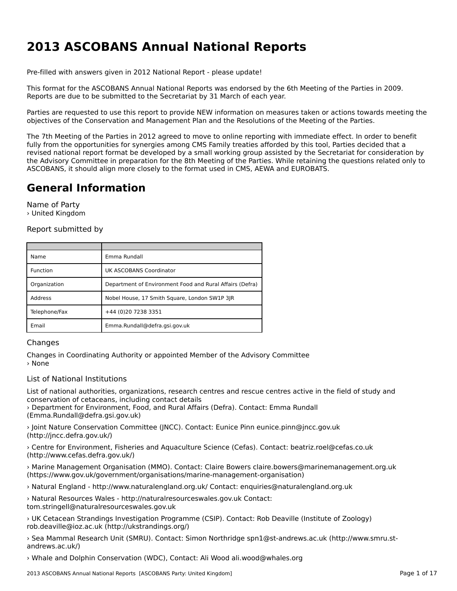# **2013 ASCOBANS Annual National Reports**

Pre-filled with answers given in 2012 National Report - please update!

This format for the ASCOBANS Annual National Reports was endorsed by the 6th Meeting of the Parties in 2009. Reports are due to be submitted to the Secretariat by 31 March of each year.

Parties are requested to use this report to provide NEW information on measures taken or actions towards meeting the objectives of the Conservation and Management Plan and the Resolutions of the Meeting of the Parties.

The 7th Meeting of the Parties in 2012 agreed to move to online reporting with immediate effect. In order to benefit fully from the opportunities for synergies among CMS Family treaties afforded by this tool, Parties decided that a runy nom the opportunities for synergies among CM3 ramny treaties anolded by this tool, rarties decided that a<br>revised national report format be developed by a small working group assisted by the Secretariat for considerat the Advisory Committee in preparation for the 8th Meeting of the Parties. While retaining the questions related only to are Advisory committee in preparation for the our meeting or the rarties. Wrille retaining to<br>ASCOBANS, it should align more closely to the format used in CMS, AEWA and EUROBATS.

## **General Information**

Name of Party › United Kingdom

Report submitted by

| Name          | Emma Rundall                                             |
|---------------|----------------------------------------------------------|
| Function      | UK ASCOBANS Coordinator                                  |
| Organization  | Department of Environment Food and Rural Affairs (Defra) |
| Address       | Nobel House, 17 Smith Square, London SW1P 3JR            |
| Telephone/Fax | +44 (0)20 7238 3351                                      |
| Email         | Emma.Rundall@defra.gsi.gov.uk                            |

#### Changes

Changes in Coordinating Authority or appointed Member of the Advisory Committee › None

#### List of National Institutions

List of national authorities, organizations, research centres and rescue centres active in the field of study and conservation of cetaceans, including contact details

› Department for Environment, Food, and Rural Affairs (Defra). Contact: Emma Rundall (Emma.Rundall@defra.gsi.gov.uk)

› Joint Nature Conservation Committee (JNCC). Contact: Eunice Pinn eunice.pinn@jncc.gov.uk (http://jncc.defra.gov.uk/)(http://incc.defra.gov.uk/)

› Centre for Environment, Fisheries and Aquaculture Science (Cefas). Contact: beatriz.roel@cefas.co.uk (http://www.cefas.defra.gov.uk/)

› Marine Management Organisation (MMO). Contact: Claire Bowers claire.bowers@marinemanagement.org.uk (https://www.gov.uk/government/organisations/marine-management-organisation)

› Natural England - http://www.naturalengland.org.uk/ Contact: enquiries@naturalengland.org.uk

› Natural Resources Wales - http://naturalresourceswales.gov.uk Contact: tom.stringell@naturalresourceswales.gov.uk

› UK Cetacean Strandings Investigation Programme (CSIP). Contact: Rob Deaville (Institute of Zoology) rob.deaville@ioz.ac.uk (http://ukstrandings.org/)

› Sea Mammal Research Unit (SMRU). Contact: Simon Northridge spn1@st-andrews.ac.uk (http://www.smru.standrews.ac.uk/)

› Whale and Dolphin Conservation (WDC), Contact: Ali Wood ali.wood@whales.org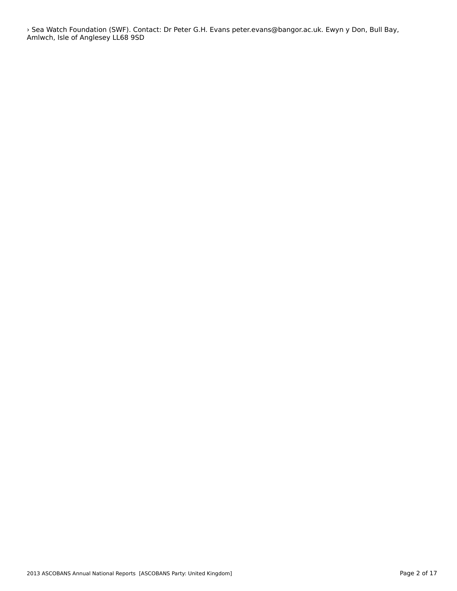› Sea Watch Foundation (SWF). Contact: Dr Peter G.H. Evans peter.evans@bangor.ac.uk. Ewyn y Don, Bull Bay, Amlwch, Isle of Anglesey LL68 9SD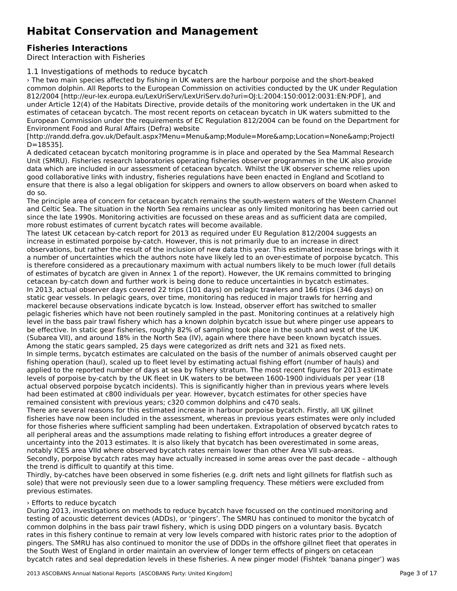## **Habitat Conservation and Management**

## **Fisheries Interactions**

Direct Interaction with Fisheries

1.1 Investigations of methods to reduce bycatch

› The two main species affected by fishing in UK waters are the harbour porpoise and the short-beaked The two main species anected by fishing in OK waters are the narbodil porpoise and the short-beaked<br>common dolphin. All Reports to the European Commission on activities conducted by the UK under Regulation 812/2004 [http://eur-lex.europa.eu/LexUriServ/LexUriServ.do?uri=OJ:L:2004:150:0012:0031:EN:PDF], and under Article 12(4) of the Habitats Directive, provide details of the monitoring work undertaken in the UK andestimates of cetacean bycatch. The most recent reports on cetacean bycatch in UK waters submitted to theEuropean Commission under the requirements of EC Regulation 812/2004 can be found on the Department for Environment Food and Rural Affairs (Defra) website

[http://randd.defra.gov.uk/Default.aspx?Menu=Menu&Module=More&Location=None&ProjectI լոււթ.*ր* առա<br>D=18535].

A dedicated cetacean bycatch monitoring programme is in place and operated by the Sea Mammal Research Unit (SMRU). Fisheries research laboratories operating fisheries observer programmes in the UK also provide onic (SMRO). Tistienes research laboratories operating insteries observer programmes in the OK also provide<br>data which are included in our assessment of cetacean bycatch. Whilst the UK observer scheme relies upon good conaborative in its with mudstry, insiemes regulations have been enacted in England and Scotland to ensure that there is also a legal obligation for skippers and owners to allow observers on board when asked to<br>do see

The principle area of concern for cetacean bycatch remains the south-western waters of the Western Channel and Celtic Sea. The situation in the North Sea remains unclear as only limited monitoring has been carried out and Cente Sea. The situation in the North Sea femants unclear as only immed monitoring has been carried.<br>Since the late 1990s. Monitoring activities are focussed on these areas and as sufficient data are compiled, since the rate 1990s. Monitoring activities are locussed on these areas<br>more robust estimates of current bycatch rates will become available.

The latest UK cetacean by-catch report for 2013 as required under EU Regulation 812/2004 suggests an increase in estimated porpoise by-catch. However, this is not primarily due to an increase in direct observations, but rather the result of the inclusion of new data this year. This estimated increase brings with it<br>observations, but rather the result of the inclusion of new data this year. This estimated increase brings a number of uncertainties which the authors note have likely led to an over-estimate of porpoise bycatch. This is therefore considered as a precautionary maximum with actual numbers likely to be much lower (full details of estimates of bycatch are given in Annex 1 of the report). However, the UK remains committed to bringing of estimates of bycatch are given in Annex 1 of the report). However, the UK remains committed to bringing In 2013, actual observer days covered 22 trips (101 days) on pelagic trawlers and 166 trips (346 days) on static gear vessels. In pelagic gears, over time, monitoring has reduced in major trawls for herring andmackerel because observations indicate bycatch is low. Instead, observer effort has switched to smaller mackerer because observations multate by calch is low. Instead, observer enot has switched to smaller<br>pelagic fisheries which have not been routinely sampled in the past. Monitoring continues at a relatively high level in the bass pair trawl fishery which has a known dolphin bycatch issue but where pinger use appears to be effective. In static gear fisheries, roughly 82% of sampling took place in the south and west of the UK be enective: in static gear insitenes, roughly 62% or sampling took place in the south and west or the ork<br>(Subarea VII), and around 18% in the North Sea (IV), again where there have been known bycatch issues. Among the static gears sampled, 25 days were categorized as drift nets and 321 as fixed nets.

Aniong the static gears sampled, 25 days were categonzed as difference and 521 as inted hets.<br>In simple terms, bycatch estimates are calculated on the basis of the number of animals observed caught per in simple terms, bycatch estimates are calculated on the basis of the number of animals observed caugh<br>fishing operation (haul), scaled up to fleet level by estimating actual fishing effort (number of hauls) and applied to the reported number of days at sea by fishery stratum. The most recent figures for 2013 estimate applied to the reported humber of days at sea by insitery stratum. The most recent ngures for 2015 estima<br>levels of porpoise by-catch by the UK fleet in UK waters to be between 1600-1900 individuals per year (18 actual observed porpoise bycatch incidents). This is significantly higher than in previous years where levels had been estimated at c800 individuals per year. However, bycatch estimates for other species have remained consistent with previous years; c320 common dolphins and c470 seals.

There are several reasons for this estimated increase in harbour porpoise bycatch. Firstly, all UK gillnet fisheries have now been included in the assessment, whereas in previous years estimates were only included fisheries fisheries have now been included in the assessment, whereas in previous years estimates were only included<br>for those fisheries where sufficient sampling had been undertaken. Extrapolation of observed bycatch rates to for those insitenes where sufficient sampling had been undertaken. Extrapolation or observed by catch is<br>all peripheral areas and the assumptions made relating to fishing effort introduces a greater degree of an periprieral areas and the assumptions made relating to itshing enort introduces a greater degree or<br>uncertainty into the 2013 estimates. It is also likely that bycatch has been overestimated in some areas, notably ICES area VIId where observed bycatch rates remain lower than other Area VII sub-areas. Secondly, porpoise bycatch rates may have actually increased in some areas over the past decade – although the trend is difficult to quantify at this time.

Thirdly, by-catches have been observed in some fisheries (e.g. drift nets and light gillnets for flatfish such as sole) that were not previously seen due to a lower sampling frequency. These métiers were excluded from sole, that were not previous estimates.

### › Efforts to reduce bycatch

During 2013, investigations on methods to reduce bycatch have focussed on the continued monitoring and testing of acoustic deterrent devices (ADDs), or 'pingers'. The SMRU has continued to monitor the bycatch of common dolphins in the bass pair trawl fishery, which is using DDD pingers on a voluntary basis. Bycatch rates in this fishery continue to remain at very low levels compared with historic rates prior to the adoption of pingers. The SMRU has also continued to monitor the use of DDDs in the offshore gillnet fleet that operates in pingers. The Simol has also continued to monitor the use of DDDs in the orishole gilliet heet that oper<br>the South West of England in order maintain an overview of longer term effects of pingers on cetacean bycatch rates and seal depredation levels in these fisheries. A new pinger model (Fishtek 'banana pinger') was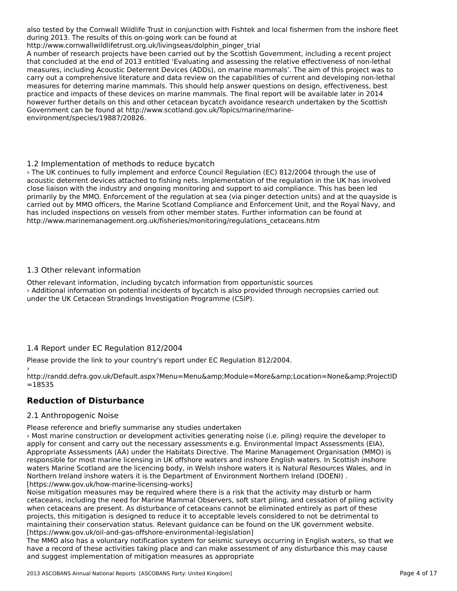also tested by the Cornwall Wildlife Trust in conjunction with Fishtek and local fishermen from the inshore fleet also tested by the Comwall whalle must in Conjunction with his<br>during 2013. The results of this on-going work can be found at

http://www.cornwallwildlifetrust.org.uk/livingseas/dolphin\_pinger\_trial

A number of research projects have been carried out by the Scottish Government, including a recent project A number of research projects have been carried out by the Scottish Government, including a recent project<br>that concluded at the end of 2013 entitled 'Evaluating and assessing the relative effectiveness of non-lethal measures, including Acoustic Deterrent Devices (ADDs), on marine mammals'. The aim of this project was to carry out a comprehensive literature and data review on the capabilities of current and developing non-lethal measures for deterring marine mammals. This should help answer questions on design, effectiveness, best practice and impacts of these devices on marine mammals. The final report will be available later in 2014 however further details on this and other cetacean bycatch avoidance research undertaken by the Scottish Government can be found at http://www.scotland.gov.uk/Topics/marine/marineenvironment/species/19887/20826.

### 1.2 Implementation of methods to reduce bycatch

› The UK continues to fully implement and enforce Council Regulation (EC) 812/2004 through the use of acoustic deterrent devices attached to fishing nets. Implementation (EC) 012/2004 unough the use of the regulation in the UK has involved acoustic deterrent devices attached to itshing nets. Implementation or the regulation in the OK has lifvor<br>close liaison with the industry and ongoing monitoring and support to aid compliance. This has been led primarily by the MMO. Enforcement of the regulation at sea (via pinger detection units) and at the quayside is primarily by the MMO. Embreement of the regulation at sea (via pinger detection units) and at the quayside is<br>carried out by MMO officers, the Marine Scotland Compliance and Enforcement Unit, and the Royal Navy, and has included inspections on vessels from other member states. Further information can be found at http://www.marinemanagement.org.uk/fisheries/monitoring/regulations\_cetaceans.htm

#### 1.3 Other relevant information

Other relevant information, including bycatch information from opportunistic sources › Additional information on potential incidents of bycatch is also provided through necropsies carried out under the UK Cetacean Strandings Investigation Programme (CSIP).

## 1.4 Report under EC Regulation 812/2004

Please provide the link to your country's report under EC Regulation 812/2004.›

,<br>http://randd.defra.gov.uk/Default.aspx?Menu=Menu&amp;Module=More&amp;Location=None&amp;ProjectID =18535

#### **Reduction of Disturbance**

### 2.1 Anthropogenic Noise

Please reference and briefly summarise any studies undertaken

› Most marine construction or development activities generating noise (i.e. piling) require the developer to apply for consent and carry out the necessary assessments e.g. Environmental Impact Assessments (EIA), apply for consent and carry out the necessary assessments e.g. Environmental impact Assessments (EIA),<br>Appropriate Assessments (AA) under the Habitats Directive. The Marine Management Organisation (MMO) is responsible for most marine licensing in UK offshore waters and inshore English waters. In Scottish inshore waters Marine Scotland are the licencing body, in Welsh inshore waters it is Natural Resources Wales, and in Northern Ireland inshore waters it is the Department of Environment Northern Ireland (DOENI) . [https://www.gov.uk/how-marine-licensing-works]

Noise mitigation measures may be required where there is a risk that the activity may disturb or harm cetaceans, including the need for Marine Mammal Observers, soft start piling, and cessation of piling activity when cetaceans are present. As disturbance of cetaceans cannot be eliminated entirely as part of these when cetaceans are present. As urstandance or cetaceans cannot be emminated entirely as part or these<br>projects, this mitigation is designed to reduce it to acceptable levels considered to not be detrimental to maintaining their conservation status. Relevant guidance can be found on the UK government website. [https://www.gov.uk/oil-and-gas-offshore-environmental-legislation]

The MMO also has a voluntary notification system for seismic surveys occurring in English waters, so that we The MMO also has a voluntary houncation system for seismic surveys occurring in English waters, so that where a record of these activities taking place and can make assessment of any disturbance this may cause and suggest implementation of mitigation measures as appropriate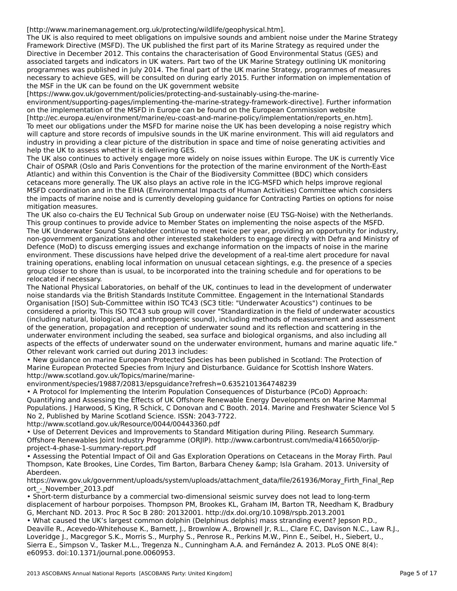[http://www.marinemanagement.org.uk/protecting/wildlife/geophysical.htm].

The UK is also required to meet obligations on impulsive sounds and ambient noise under the Marine Strategy The OK is also required to fileet obligations on impulsive sounds and ambient noise under the marine Stra<br>Framework Directive (MSFD). The UK published the first part of its Marine Strategy as required under the Directive in December 2012. This contains the characterisation of Good Environmental Status (GES) and associated targets and indicators in UK waters. Part two of the UK Marine Strategy outlining UK monitoring programmes was published in July 2014. The final part of the UK marine Strategy, programmes of measures programmes was published in july 2014. The linal part of the OK manne Strategy, programmes of measures<br>necessary to achieve GES, will be consulted on during early 2015. Further information on implementation of the MSF in the UK can be found on the UK government website

[https://www.gov.uk/government/policies/protecting-and-sustainably-using-the-marine-

environment/supporting-pages/implementing-the-marine-strategy-framework-directive]. Further information on the implementation of the MSFD in Europe can be found on the European Commission website on the implementation of the M31D in Europe can be found on the European Commission website<br>[http://ec.europa.eu/environment/marine/eu-coast-and-marine-policy/implementation/reports\_en.htm]. To meet our obligations under the MSFD for marine noise the UK has been developing a noise registry which will capture and store records of impulsive sounds in the UK marine environment. This will aid regulators and which capture and store records of impulsive sounds in the OK manne environment. This will ald regulators and industry in providing a clear picture of the distribution in space and time of noise generating activities and

neip the OK to assess whether it is delivering GLS.<br>The UK also continues to actively engage more widely on noise issues within Europe. The UK is currently Vice The OK also continues to actively engage more widely on holse issues within Europe. The OK is currently virtually<br>Chair of OSPAR (Oslo and Paris Conventions for the protection of the marine environment of the North-East Atlantic) and within this Convention is the Chair of the Biodiversity Committee (BDC) which considers cetaceans more generally. The UK also plays an active role in the ICG-MSFD which helps improve regional MSFD coordination and in the EIHA (Environmental Impacts of Human Activities) Committee which considers the impacts of marine noise and is currently developing guidance for Contracting Parties on options for noise mitigation measures.<br>mitigation measures.

The UK also co-chairs the EU Technical Sub Group on underwater noise (EU TSG-Noise) with the Netherlands.The ok also co-chairs the Lo Technical 300 Group on underwater holse (Lo T3G-Noise) with the Netherland<br>This group continues to provide advice to Member States on implementing the noise aspects of the MSFD. This group continues to provide advice to member states on implementing the holse aspects of the morp.<br>The UK Underwater Sound Stakeholder continue to meet twice per year, providing an opportunity for industry, nne ok onderwater Sound Stakeholder continue to meet twice per year, providing an opportunity for mudstry,<br>non-government organizations and other interested stakeholders to engage directly with Defra and Ministry of non-government organizations and other interested stakeholders to engage directly with Defra and Ministry<br>Defence (MoD) to discuss emerging issues and exchange information on the impacts of noise in the marine environment. These discussions have helped drive the development of a real-time alert procedure for naval training operations, enabling local information on unusual cetacean sightings, e.g. the presence of a species group closer to shore than is usual, to be incorporated into the training schedule and for operations to be group croser to snore t<br>relocated if necessary.

The National Physical Laboratories, on behalf of the UK, continues to lead in the development of underwater nne waddriar Friysicar Laboratones, on behan of the OK, continues to lead in the development of underwat<br>noise standards via the British Standards Institute Committee. Engagement in the International Standards noise standards via the British Standards institute committee. Engagement in the international Standards<br>Organisation [ISO] Sub-Committee within ISO TC43 (SC3 title: "Underwater Acoustics") continues to be considered a priority. This ISO TC43 sub group will cover "Standardization in the field of underwater acoustics (including natural, biological, and anthropogenic sound), including methods of measurement and assessment of the generation, propagation and reception of underwater sound and its reflection and scattering in the or the generation, propagation and reception or underwater sound and its renection and scattering in the<br>underwater environment including the seabed, sea surface and biological organisms, and also including all anderwater environment including the seabed, sea surface and biological organisms, and also including an<br>aspects of the effects of underwater sound on the underwater environment, humans and marine aquatic life."

• New guidance on marine European Protected Species has been published in Scotland: The Protection of Marine European Protected Species from Injury and Disturbance. Guidance for Scottish Inshore Waters. http://www.scotland.gov.uk/Topics/marine/marine-

environment/species/19887/20813/epsguidance?refresh=0.6352101364748239

• A Protocol for Implementing the Interim Population Consequences of Disturbance (PCoD) Approach: The Frotocol for implementing the interim Population Consequences of Disturbance (PCOD) Approach.<br>Quantifying and Assessing the Effects of UK Offshore Renewable Energy Developments on Marine Mammal Populations. J Harwood, S King, R Schick, C Donovan and C Booth. 2014. Marine and Freshwater Science Vol 5 No 2, Published by Marine Scotland Science. ISSN: 2043-7722.

http://www.scotland.gov.uk/Resource/0044/00443360.pdf

• Use of Deterrent Devices and Improvements to Standard Mitigation during Piling. Research Summary. Offshore Renewables Joint Industry Programme (ORJIP). http://www.carbontrust.com/media/416650/orjipproject-4-phase-1-summary-report.pdf

• Assessing the Potential Impact of Oil and Gas Exploration Operations on Cetaceans in the Moray Firth. Paul Thompson, Kate Brookes, Line Cordes, Tim Barton, Barbara Cheney & amp; Isla Graham. 2013. University of Thompson, Kate Brookes, Line Cordes, Tim Barton, Barbara Cheney & amp; Isla Graham. 2013. University of

Aberdeen.<br>https://www.gov.uk/government/uploads/system/uploads/attachment\_data/file/261936/Moray\_Firth\_Final\_Rep ort\_-\_November\_2013.pdf

• Short-term disturbance by a commercial two-dimensional seismic survey does not lead to long-term displacement of harbour porpoises. Thompson PM, Brookes KL, Graham IM, Barton TR, Needham K, Bradbury G, Merchant ND. 2013. Proc R Soc B 280: 20132001. http://dx.doi.org/10.1098/rspb.2013.2001

• What caused the UK's largest common dolphin (Delphinus delphis) mass stranding event? Jepson P.D., Deaville R., Acevedo-Whitehouse K., Barnett, J., Brownlow A., Brownell Jr, R.L., Clare F.C, Davison N.C., Law R.J., Loveridge J., Macgregor S.K., Morris S., Murphy S., Penrose R., Perkins M.W., Pinn E., Seibel, H., Siebert, U.,<br>Loveridge J., Macgregor S.K., Morris S., Murphy S., Penrose R., Perkins M.W., Pinn E., Seibel, H., Siebert, U. effect of the 6000 minutes in the effect of the commitment A.A. and remaindez A. 2015. FL05 ONL 6(4).<br>- COOL - Jei 10.131 from Journal Cococa e60953. doi:10.1371/journal.pone.0060953.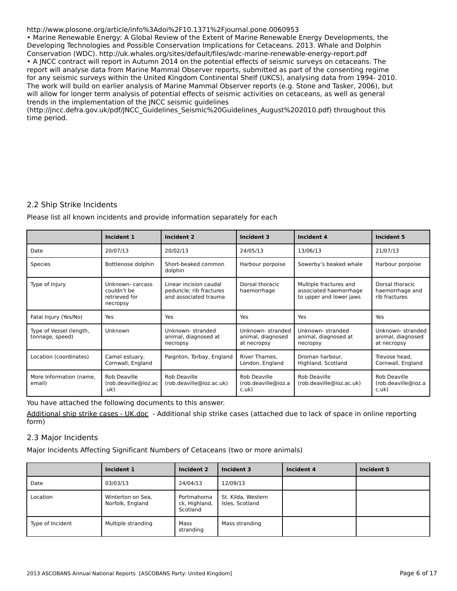#### http://www.plosone.org/article/info%3Adoi%2F10.1371%2Fjournal.pone.0060953

• Marine Renewable Energy: A Global Review of the Extent of Marine Renewable Energy Developments, the **Thall Developme Technologies and Possible Conservation Implications for Cetaceans. 2013. Whale and Dolphin**<br>Developing Technologies and Possible Conservation Implications for Cetaceans. 2013. Whale and Dolphin Conservation (WDC). http://uk.whales.org/sites/default/files/wdc-marine-renewable-energy-report.pdf • A JNCC contract will report in Autumn 2014 on the potential effects of seismic surveys on cetaceans. The report will analyse data from Marine Mammal Observer reports, submitted as part of the consenting regime<br>report will analyse data from Marine Mammal Observer reports, submitted as part of the consenting regime for any seismic surveys within the United Kingdom Continental Shelf (UKCS), analysing data from 1994- 2010. The work will build on earlier analysis of Marine Mammal Observer reports (e.g. Stone and Tasker, 2006), but<br>The work will build on earlier analysis of Marine Mammal Observer reports (e.g. Stone and Tasker, 2006), but The work will build on earlier analysis of Marille Marilliai Observer reports (e.g. Storie and Tasker, 2000), b<br>will allow for longer term analysis of potential effects of seismic activities on cetaceans, as well as genera will allow for foriger term analysis or potential effects of seising the theories of the implementation of the JNCC seismic quidelines

trends in the implementation of the jived seismic guidelines<br>(http://jncc.defra.gov.uk/pdf/JNCC\_Guidelines\_Seismic%20Guidelines\_August%202010.pdf) throughout this time period.

## 2.2 Ship Strike Incidents

Please list all known incidents and provide information separately for each

|                                            | Incident 1                                                  | <b>Incident 2</b><br>Incident 3                                            |                                                      | Incident 4                                                                  | Incident 5                                           |
|--------------------------------------------|-------------------------------------------------------------|----------------------------------------------------------------------------|------------------------------------------------------|-----------------------------------------------------------------------------|------------------------------------------------------|
| Date                                       | 20/07/13                                                    | 20/02/13                                                                   | 24/05/13                                             | 13/06/13                                                                    | 21/07/13                                             |
| Species                                    | Bottlenose dolphin                                          | Short-beaked common<br>dolphin                                             | Harbour porpoise                                     | Sowerby's beaked whale                                                      | Harbour porpoise                                     |
| Type of Injury                             | Unknown-carcass<br>couldn't be<br>retrieved for<br>necropsy | Linear incision caudal<br>peduncle; rib fractures<br>and associated trauma | Dorsal thoracic<br>haemorrhage                       | Multiple fractures and<br>associated haemorrhage<br>to upper and lower jaws | Dorsal thoracic<br>haemorrhage and<br>rib fractures  |
| Fatal Injury (Yes/No)                      | Yes                                                         | Yes                                                                        | Yes                                                  | Yes                                                                         | Yes                                                  |
| Type of Vessel (length,<br>tonnage, speed) | Unknown                                                     | Unknown-stranded<br>animal, diagnosed at<br>necropsy                       | Unknown-stranded<br>animal, diagnosed<br>at necropsy | Unknown-stranded<br>animal, diagnosed at<br>necropsy                        | Unknown-stranded<br>animal, diagnosed<br>at necropsy |
| Location (coordinates)                     | Camel estuary,<br>Cornwall, England                         | Paignton, Torbay, England                                                  | River Thames,<br>London, England                     | Droman harbour,<br>Highland, Scotland                                       | Trevose head.<br>Cornwall, England                   |
| More Information (name,<br>email)          | Rob Deaville<br>(rob.deaville@ioz.ac<br>.uk)                | Rob Deaville<br>(rob.deaville@ioz.ac.uk)                                   | Rob Deaville<br>(rob.deaville@ioz.a<br>c.uk)         | Rob Deaville<br>(rob.deaville@ioz.ac.uk)                                    | Rob Deaville<br>(rob.deaville@ioz.a<br>c.uk)         |

You have attached the following documents to this answer.

[Additional ship strike cases - UK.doc](http://cms-family-ors.unep-wcmc.org/answers/1955117/documents/487) - Additional ship strike cases (attached due to lack of space in online reporting form)

## 2.3 Major Incidents

Major Incidents Affecting Significant Numbers of Cetaceans (two or more animals)

|                  | Incident 1                            | Incident 2                              | <b>Incident 3</b>                     | Incident 4 | Incident 5 |
|------------------|---------------------------------------|-----------------------------------------|---------------------------------------|------------|------------|
| Date             | 03/03/13                              | 24/04/13                                | 12/09/13                              |            |            |
| Location         | Winterton on Sea,<br>Norfolk, England | Portmahoma<br>ck, Highland,<br>Scotland | St. Kilda, Western<br>Isles, Scotland |            |            |
| Type of Incident | Multiple stranding                    | Mass<br>stranding                       | Mass stranding                        |            |            |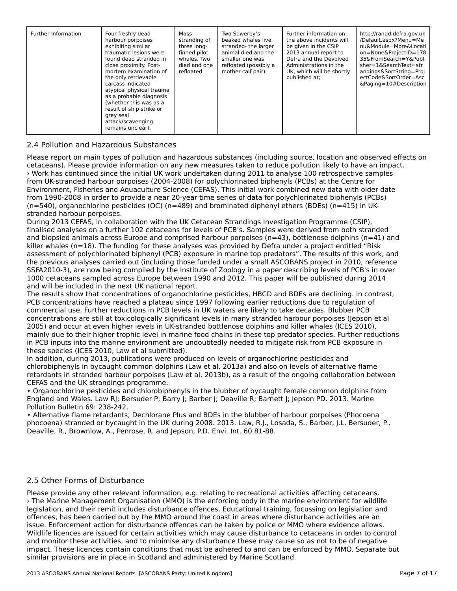| Further Information | Four freshly dead<br>harbour porpoises<br>exhibiting similar<br>traumatic lesions were<br>found dead stranded in<br>close proximity. Post-<br>mortem examination of<br>the only retrievable<br>carcass indicated<br>atypical physical trauma<br>as a probable diagnosis<br>(whether this was as a<br>result of ship strike or<br>grey seal<br>attack/scavenging<br>remains unclear). | Mass<br>stranding of<br>three long-<br>finned pilot<br>whales. Two<br>died and one<br>refloated. | Two Sowerby's<br>beaked whales live<br>stranded-the larger<br>animal died and the<br>smaller one was<br>refloated (possibly a<br>mother-calf pair). | Further information on<br>the above incidents will<br>be given in the CSIP<br>2013 annual report to<br>Defra and the Devolved<br>Administrations in the<br>UK, which will be shortly<br>published at: | http://randd.defra.gov.uk<br>/Default.aspx?Menu=Me<br>nu&Module=More&Locati<br>on=None&ProjectID=178<br>35&FromSearch=Y&Publi<br>$sher = 1 & SearchText = str$<br>andings&SortString=Proj<br>ectCode&SortOrder=Asc<br>&Paging=10#Description |
|---------------------|--------------------------------------------------------------------------------------------------------------------------------------------------------------------------------------------------------------------------------------------------------------------------------------------------------------------------------------------------------------------------------------|--------------------------------------------------------------------------------------------------|-----------------------------------------------------------------------------------------------------------------------------------------------------|-------------------------------------------------------------------------------------------------------------------------------------------------------------------------------------------------------|----------------------------------------------------------------------------------------------------------------------------------------------------------------------------------------------------------------------------------------------|
|---------------------|--------------------------------------------------------------------------------------------------------------------------------------------------------------------------------------------------------------------------------------------------------------------------------------------------------------------------------------------------------------------------------------|--------------------------------------------------------------------------------------------------|-----------------------------------------------------------------------------------------------------------------------------------------------------|-------------------------------------------------------------------------------------------------------------------------------------------------------------------------------------------------------|----------------------------------------------------------------------------------------------------------------------------------------------------------------------------------------------------------------------------------------------|

## 2.4 Pollution and Hazardous Substances

Please report on main types of pollution and hazardous substances (including source, location and observed effects on cetaceans). Please provide information on any new measures taken to reduce pollution likely to have an impact.› Work has continued since the initial UK work undertaken during 2011 to analyse 100 retrospective samples from UK-stranded harbour porpoises (2004-2008) for polychlorinated biphenyls (PCBs) at the Centre for Environment, Fisheries and Aquaculture Science (CEFAS). This initial work combined new data with older date from 1990-2008 in order to provide a near 20-year time series of data for polychlorinated biphenyls (PCBs)  $(n=540)$ , organochlorine pesticides (OC) (n=489) and brominated diphenyl ethers (BDEs) (n=415) in UKstranded harbour porpoises.

stranded harbour porpoises.<br>During 2013 CEFAS, in collaboration with the UK Cetacean Strandings Investigation Programme (CSIP), finalised analyses on a further 102 cetaceans for levels of PCB's. Samples were derived from both stranded and biopsied animals across Europe and comprised harbour porpoises (n=43), bottlenose dolphins (n=41) and and biopsied animals across Edrope and comprised narbodr porpoises (n=45), bothenose doipmiis (n=41<br>killer whales (n=18). The funding for these analyses was provided by Defra under a project entitled "Risk kiner whales (ii—10). The funding for these analyses was provided by Defra under a project entitied Thisk<br>assessment of polychlorinated biphenyl (PCB) exposure in marine top predators". The results of this work, and assessment or porychionnated orphenyr (i CB) exposure in manne top predators. The results of this work, and<br>the previous analyses carried out (including those funded under a small ASCOBANS project in 2010, reference SSFA2010-3), are now being compiled by the Institute of Zoology in a paper describing levels of PCB's in over 331A2010-3), are now being complied by the institute of 20000gy in a paper describing levels of PCB's in over<br>1000 cetaceans sampled across Europe between 1990 and 2012. This paper will be published during 2014

and will be lictuated in the flext of hational report.<br>The results show that concentrations of organochlorine pesticides, HBCD and BDEs are declining. In contrast, PCB concentrations have reached a plateau since 1997 following earlier reductions due to regulation of commercial use. Further reductions in PCB levels in UK waters are likely to take decades. Blubber PCB concentrations are still at toxicologically significant levels in many stranded harbour porpoises (Jepson et al 2005) and occur at even higher levels in UK-stranded bottlenose dolphins and killer whales (ICES 2010), mainly due to their higher trophic level in marine food chains in these top predator species. Further reductions inaliny due to their higher trophic lever in marine food chains in these top preuator species. Further reductio<br>In PCB inputs into the marine environment are undoubtedly needed to mitigate risk from PCB exposure in In FCD inputs into the manne environment are t<br>these species (ICES 2010, Law et al submitted).

In addition, during 2013, publications were produced on levels of organochlorine pesticides and chlorobiphenyls in bycaught common dolphins (Law et al. 2013a) and also on levels of alternative flame retardants in stranded harbour porpoises (Law et al. 2013b), as a result of the ongoing collaboration between CEFAS and the UK strandings programme.

• Organochlorine pesticides and chlorobiphenyls in the blubber of bycaught female common dolphins from England and Wales. Law RJ; Bersuder P; Barry J; Barber J; Deaville R; Barnett J; Jepson PD. 2013. Marine Pollution Bulletin 69: 238-242.

• Alternative flame retardants, Dechlorane Plus and BDEs in the blubber of harbour porpoises (Phocoena phocoena) stranded or bycaught in the UK during 2008. 2013. Law, R.J., Losada, S., Barber, J.L, Bersuder, P., phocoena) stranded or bycadgift in the OK during 2000. 2013. Law, K.J., Lt<br>Deaville, R., Brownlow, A., Penrose, R. and Jepson, P.D. Envi. Int. 60 81-88.

#### 2.5 Other Forms of Disturbance

Please provide any other relevant information, e.g. relating to recreational activities affecting cetaceans. › The Marine Management Organisation (MMO) is the enforcing body in the marine environment for wildlife legislation, and their remit includes disturbance offences. Educational training, focussing on legislation and regisiation, and their remit includes disturbance oriences. Ludcational training, focussing on regislation are<br>offences, has been carried out by the MMO around the coast in areas where disturbance activities are an issue. Enforcement action for disturbance offences can be taken by police or MMO where evidence allows. Wildlife licences are issued for certain activities which may cause disturbance to cetaceans in order to control and monitor these activities, and to minimise any disturbance these may cause so as not to be of negative and monitor these activities, and to minimitse any disturbance these may cause so as not to be or negative<br>impact. These licences contain conditions that must be adhered to and can be enforced by MMO. Separate but impact. These licences contain conditions that must be adhered to and can be e<br>similar provisions are in place in Scotland and administered by Marine Scotland.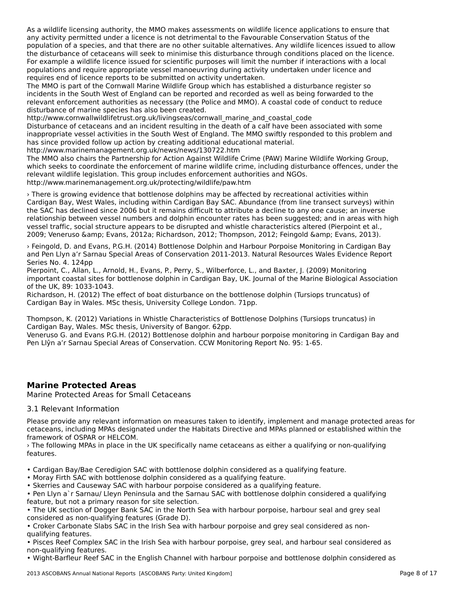As a wildlife licensing authority, the MMO makes assessments on wildlife licence applications to ensure that As a whalle licensing authority, the wivio makes assessments on whalle licence applications to ensure<br>any activity permitted under a licence is not detrimental to the Favourable Conservation Status of the any activity permitted under a licence is not detrimental to the ravourable conservation status or the<br>population of a species, and that there are no other suitable alternatives. Any wildlife licences issued to allow the disturbance of cetaceans will seek to minimise this disturbance through conditions placed on the licence. For example a wildlife licence issued for scientific purposes will limit the number if interactions with a local populations and require appropriate vessel manoeuvring during activity undertaken under licence and<br>populations and require appropriate vessel manoeuvring during activity undertaken under licence and requires end of licence reports to be submitted on activity undertaken.

requires end or licence reports to be submitted on activity undertaken.<br>The MMO is part of the Cornwall Marine Wildlife Group which has established a disturbance register so incidents in the South West of England can be reported and recorded as well as being forwarded to the relevant enforcement authorities as necessary (the Police and MMO). A coastal code of conduct to reduce relevant emortement additiontles as necessary (the Ft<br>disturbance of marine species has also been created.

http://www.cornwallwildlifetrust.org.uk/livingseas/cornwall\_marine\_and\_coastal\_code

nttp.//www.comwanwildlifetrust.org.uk/ilvingseas/comwail\_manne\_and\_coastar\_code<br>Disturbance of cetaceans and an incident resulting in the death of a calf have been associated with some inappropriate vessel activities in the South West of England. The MMO swiftly responded to this problem and has since provided follow up action by creating additional educational material.

http://www.marinemanagement.org.uk/news/news/130722.htm

ntip://www.mamiemanagement.org.uk/news/news/150722.html<br>The MMO also chairs the Partnership for Action Against Wildlife Crime (PAW) Marine Wildlife Working Group, which seeks to coordinate the enforcement of marine wildlife crime, including disturbance offences, under the which seeks to coordinate the emorgement of marine whalle chine, including distdi-<br>relevant wildlife legislation. This group includes enforcement authorities and NGOs. http://www.marinemanagement.org.uk/protecting/wildlife/paw.htm

› There is growing evidence that bottlenose dolphins may be affected by recreational activities within Cardigan Bay, West Wales, including within Cardigan Bay SAC. Abundance (from line transect surveys) within cardigan bay, west wales, including within cardigan bay SAC. Abdiluatice (nonfilme transect surveys) with<br>the SAC has declined since 2006 but it remains difficult to attribute a decline to any one cause; an inverse the SAC has decimed since 2000 but it remains dimedit to attribute a decime to any one cause, an inverse<br>relationship between vessel numbers and dolphin encounter rates has been suggested; and in areas with high vessel traffic, social structure appears to be disrupted and whistle characteristics altered (Pierpoint et al., vesser tranic, social structure appears to be uisrupted and whishe characteristics altered (Fierpollit et al.,<br>2009; Veneruso &amp; Evans, 2012a; Richardson, 2012; Thompson, 2012; Feingold &amp; Evans, 2013).

› Feingold, D. and Evans, P.G.H. (2014) Bottlenose Dolphin and Harbour Porpoise Monitoring in Cardigan Bay 2 Ferrigord, D. and Evans, P.G.H. (2014) Bottlenose Dolphin and Harbour Porpoise Monitoring in Cardigari Bay<br>And Pen Llyn a'r Sarnau Special Areas of Conservation 2011-2013. Natural Resources Wales Evidence Report Series No. 4. 124pp

Pierpoint, C., Allan, L., Arnold, H., Evans, P., Perry, S., Wilberforce, L., and Baxter, J. (2009) Monitoring riefportant coastal sites for bottlenose dolphin in Cardigan Bay, UK. Journal of the Marine Biological Association<br>Important coastal sites for bottlenose dolphin in Cardigan Bay, UK. Journal of the Marine Biological Associ of the UK, 89: 1033-1043.

or the OK, 09. 1033-1043.<br>Richardson, H. (2012) The effect of boat disturbance on the bottlenose dolphin (Tursiops truncatus) of Cardigan Bay in Wales. MSc thesis, University College London. 71pp.

Thompson, K. (2012) Variations in Whistle Characteristics of Bottlenose Dolphins (Tursiops truncatus) in Cardigan Bay, Wales. MSc thesis, University of Bangor. 62pp.

Veneruso G. and Evans P.G.H. (2012) Bottlenose dolphin and harbour porpoise monitoring in Cardigan Bay and Pen Llŷn a'r Sarnau Special Areas of Conservation. CCW Monitoring Report No. 95: 1-65.

## **Marine Protected Areas**

Marine Protected Areas for Small Cetaceans

#### 3.1 Relevant Information

Please provide any relevant information on measures taken to identify, implement and manage protected areas for cetaceans, including MPAs designated under the Habitats Directive and MPAs planned or established within the framework of OSPAR or HELCOM.

› The following MPAs in place in the UK specifically name cetaceans as either a qualifying or non-qualifying features.

• Cardigan Bay/Bae Ceredigion SAC with bottlenose dolphin considered as a qualifying feature.

• Caruigan Bay/Bae Cereuigion SAC with bottlenose dolphin considered as a c<br>• Moray Firth SAC with bottlenose dolphin considered as a qualifying feature.

• Moray men SAC with bottlenose doipmin considered as a qualifying reature.<br>• Skerries and Causeway SAC with harbour porpoise considered as a qualifying feature.

• Pen Llyn a`r Sarnau/ Lleyn Peninsula and the Sarnau SAC with bottlenose dolphin considered a qualifying Their Liyn and Samau, Lieyn Fermisula and the Sam<br>feature, but not a primary reason for site selection.

• The UK section of Dogger Bank SAC in the North Sea with harbour porpoise, harbour seal and grey seal I The OK section of Dogger Bank SAC in the North<br>considered as non-qualifying features (Grade D).

• Croker Carbonate Slabs SAC in the Irish Sea with harbour porpoise and grey seal considered as non-Cloker Carbonate<br>qualifying features.

qualifying reatures.<br>• Pisces Reef Complex SAC in the Irish Sea with harbour porpoise, grey seal, and harbour seal considered as

• Wight-Barfleur Reef SAC in the English Channel with harbour porpoise and bottlenose dolphin considered as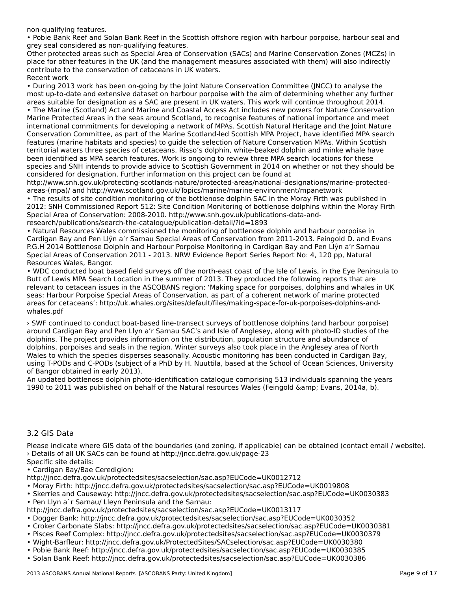non-qualifying features.

• Pobie Bank Reef and Solan Bank Reef in the Scottish offshore region with harbour porpoise, harbour seal and grey seal considered as non-qualifying features.

grey sear considered as non-qualirying reatures.<br>Other protected areas such as Special Area of Conservation (SACs) and Marine Conservation Zones (MCZs) in place for other features in the UK (and the management measures associated with them) will also indirectly place for other reatures in the ok (and the management in  $\alpha$ Recent work

• During 2013 work has been on-going by the Joint Nature Conservation Committee (JNCC) to analyse the most up-to-date and extensive dataset on harbour porpoise with the aim of determining whether any further areas suitable for designation as a SAC are present in UK waters. This work will continue throughout 2014.areas suitable for designation as a 3AC are present in on waters. This work will continue throughout 2014.<br>• The Marine (Scotland) Act and Marine and Coastal Access Act includes new powers for Nature Conservation The Marine (Scotland) Act and Marine and Coastal Access Act includes new powers for Nature Conservational importance and meet<br>Marine Protected Areas in the seas around Scotland, to recognise features of national importance international commitments for developing a network of MPAs. Scottish Natural Heritage and the Joint Nature Conservation Committee, as part of the Marine Scotland-led Scottish MPA Project, have identified MPA search features (marine habitats and species) to guide the selection of Nature Conservation MPAs. Within Scottish territorial waters three species of cetaceans, Risso's dolphin, white-beaked dolphin and minke whale have been identified as MPA search features. Work is ongoing to review three MPA search locations for these species and SNH intends to provide advice to Scottish Government in 2014 on whether or not they should be considered for designation. Further information on this project can be found at

http://www.snh.gov.uk/protecting-scotlands-nature/protected-areas/national-designations/marine-protectedareas-(mpa)/ and http://www.scotland.gov.uk/Topics/marine/marine-environment/mpanetwork

• The results of site condition monitoring of the bottlenose dolphin SAC in the Moray Firth was published in 2012: SNH Commissioned Report 512: Site Condition Monitoring of bottlenose dolphins within the Moray Firth Special Area of Conservation: 2008-2010. http://www.snh.gov.uk/publications-data-andresearch/publications/search-the-catalogue/publication-detail/?id=1893

• Natural Resources Wales commissioned the monitoring of bottlenose dolphin and harbour porpoise in Cardigan Bay and Pen Llŷn a'r Sarnau Special Areas of Conservation from 2011-2013. Feingold D. and Evans P.G.H 2014 Bottlenose Dolphin and Harbour Porpoise Monitoring in Cardigan Bay and Pen Llŷn a'r Sarnau P.G.TT 2014 Bottleriose Dolphin and Tranbodi Porporse Monitoring in Cardigan Bay and Pen Liyn a Fisami<br>Special Areas of Conservation 2011 - 2013. NRW Evidence Report Series Report No: 4, 120 pp, Natural Resources Wales, Bangor.

resources wares, bangon.<br>• WDC conducted boat based field surveys off the north-east coast of the Isle of Lewis, in the Eye Peninsula to<br>but the summer of a search Location in the summer of 2013. They produced the followin Butt of Lewis MPA Search Location in the summer of 2013. They produced the following reports that are Preferant to cetacean issues in the ASCOBANS region: 'Making space for porpoises, dolphins and whales in UK relevant to cetacean issues in the ASCOBANS region: 'Making space for porpoises, dolphins and whales in UK seas: Harbour Porpoise Special Areas of Conservation, as part of a coherent network of marine protected areas for cetaceans': http://uk.whales.org/sites/default/files/making-space-for-uk-porpoises-dolphins-andareas ror ce<br>whales.pdf

› SWF continued to conduct boat-based line-transect surveys of bottlenose dolphins (and harbour porpoise) around Cardigan Bay and Pen Llyn a'r Sarnau SAC's and Isle of Anglesey, along with photo-ID studies of the dolphins. The project provides information on the distribution, population structure and abundance of dolphins. The project provides information on the distribution, population structure and abundance of<br>dolphins, porpoises and seals in the region. Winter surveys also took place in the Anglesey area of North Wales to which the species disperses seasonally. Acoustic monitoring has been conducted in Cardigan Bay, wales to which the species disperses seasonally. Acoustic monitoring has been conducted in cardigan bay,<br>using T-PODs and C-PODs (subject of a PhD by H. Nuuttila, based at the School of Ocean Sciences, University asing 1-1 ODs and C-1 ODs (subject<br>of Bangor obtained in early 2013).

An updated bottlenose dolphin photo-identification catalogue comprising 513 individuals spanning the years 1990 to 2011 was published on behalf of the Natural resources Wales (Feingold & Evans, 2014a, b).

#### 3.2 GIS Data

Please indicate where GIS data of the boundaries (and zoning, if applicable) can be obtained (contact email / website).  $\sum_{i=1}^{N} \sum_{j=1}^{N} \sum_{j=1}^{N} \sum_{j=1}^{N} \sum_{j=1}^{N} \sum_{j=1}^{N} \sum_{j=1}^{N} \sum_{j=1}^{N} \sum_{j=1}^{N} \sum_{j=1}^{N} \sum_{j=1}^{N} \sum_{j=1}^{N} \sum_{j=1}^{N} \sum_{j=1}^{N} \sum_{j=1}^{N} \sum_{j=1}^{N} \sum_{j=1}^{N} \sum_{j=1}^{N} \sum_{j=1}^{N} \sum_{j=1}^{N} \sum_{j=1}^{N} \sum_{j=1}^{N}$ 

• Cardigan Bay/Bae Ceredigion:

http://jncc.defra.gov.uk/protectedsites/sacselection/sac.asp?EUCode=UK0012712

• Moray Firth: http://jncc.defra.gov.uk/protectedsites/sacselection/sac.asp?EUCode=UK0019808

• Skerries and Causeway: http://jncc.defra.gov.uk/protectedsites/sacselection/sac.asp?EUCode=UK0030383

• Skerries and Causeway. Incp.//Jircc.defra.gov.dk/prote<br>• Pen Llyn a`r Sarnau/ Lleyn Peninsula and the Sarnau:

http://jncc.defra.gov.uk/protectedsites/sacselection/sac.asp?EUCode=UK0013117

- Dogger Bank: http://jncc.defra.gov.uk/protectedsites/sacselection/sac.asp?EUCode=UK0030352
- Croker Carbonate Slabs: http://jncc.defra.gov.uk/protectedsites/sacselection/sac.asp?EUCode=UK0030381
- Pisces Reef Complex: http://jncc.defra.gov.uk/protectedsites/sacselection/sac.asp?EUCode=UK0030379
- Wight-Barfleur: http://jncc.defra.gov.uk/ProtectedSites/SACselection/sac.asp?EUCode=UK0030380
- Pobie Bank Reef: http://jncc.defra.gov.uk/protectedsites/sacselection/sac.asp?EUCode=UK0030385<br>• Pobie Bank Reef: http://jncc.defra.gov.uk/protectedsites/sacselection/sac.asp?EUCode=UK0030385
- · Solan Bank Reef: http://jncc.defra.gov.uk/protectedsites/sacselection/sac.asp?EUCode=UK0030386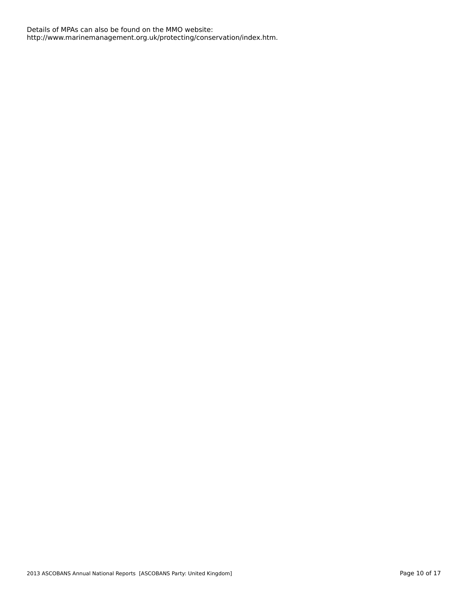Details of MPAs can also be found on the MMO website: http://www.marinemanagement.org.uk/protecting/conservation/index.htm.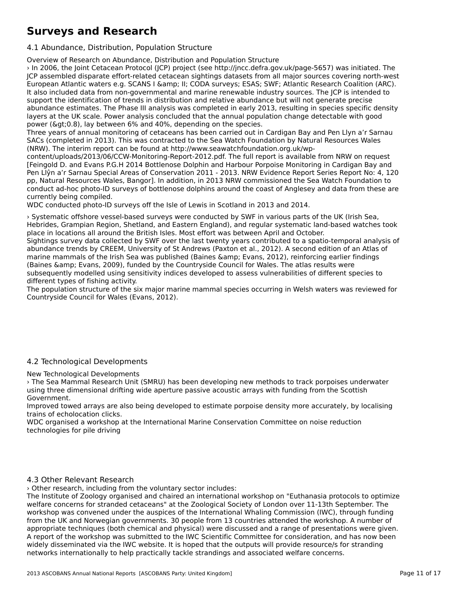## **Surveys and Research**

4.1 Abundance, Distribution, Population Structure

Overview of Research on Abundance, Distribution and Population Structure

› In 2006, the Joint Cetacean Protocol (JCP) project (see http://jncc.defra.gov.uk/page-5657) was initiated. The of the zood, the joint cetacean Frotocol (JCF) project (see http://jncc.defra.gov.dk/page-5057) was imidated.<br>JCP assembled disparate effort-related cetacean sightings datasets from all major sources covering north-west European Atlantic waters e.g. SCANS I & II; CODA surveys; ESAS; SWF; Atlantic Research Coalition (ARC). It also included data from non-governmental and marine renewable industry sources. The JCP is intended to it also included data from non-governmental and manne reflewable mudstry sources. The JCF is intendi-<br>support the identification of trends in distribution and relative abundance but will not generate precise support the identification of trends in distribution and relative abundance but will not generate precise<br>abundance estimates. The Phase III analysis was completed in early 2013, resulting in species specific density layers at the UK scale. Power analysis concluded that the annual population change detectable with goodlayers at the OK scale. Fower analysis concidued that the annual population of the species.<br>power (&gt;0.8), lay between 6% and 40%, depending on the species.

Three years of annual monitoring of cetaceans has been carried out in Cardigan Bay and Pen Llyn a'r Sarnau SACs (completed in 2013). This was contracted to the Sea Watch Foundation by Natural Resources Wales (NRW). The interim report can be found at http://www.seawatchfoundation.org.uk/wp-

content/uploads/2013/06/CCW-Monitoring-Report-2012.pdf. The full report is available from NRW on request [Feingold D. and Evans P.G.H 2014 Bottlenose Dolphin and Harbour Porpoise Monitoring in Cardigan Bay and Pen Llŷn a'r Sarnau Special Areas of Conservation 2011 - 2013. NRW Evidence Report Series Report No: 4, 120 pp, Natural Resources Wales, Bangor]. In addition, in 2013 NRW commissioned the Sea Watch Foundation to conduct ad-hoc photo-ID surveys of bottlenose dolphins around the coast of Anglesey and data from these are currently being compiled.

WDC conducted photo-ID surveys off the Isle of Lewis in Scotland in 2013 and 2014.

› Systematic offshore vessel-based surveys were conducted by SWF in various parts of the UK (Irish Sea, Hebrides, Grampian Region, Shetland, and Eastern England), and regular systematic land-based watches took place in locations all around the British Isles. Most effort was between April and October.

place in locations an around the British isles. Most enote was between April and October.<br>Sightings survey data collected by SWF over the last twenty years contributed to a spatio-temporal analysis of abundance trends by CREEM, University of St Andrews (Paxton et al., 2012). A second edition of an Atlas of abundance trends by CKLLM, University of St Andrews (Faxton et al., 2012). A second edition of an Atlas<br>marine mammals of the Irish Sea was published (Baines &amp; Evans, 2012), reinforcing earlier findings manne manimals of the first foed was published (ballies wamp, Evans, 2012), relinorcing earlier f<br>(Baines &amp; Evans, 2009), funded by the Countryside Council for Wales. The atlas results were subsequently modelled using sensitivity indices developed to assess vulnerabilities of different species to subsequently modelled dsing ser<br>different types of fishing activity.

The population structure of the six major marine mammal species occurring in Welsh waters was reviewed for The population structure of the six major marked that

## 4.2 Technological Developments

New Technological Developments

› The Sea Mammal Research Unit (SMRU) has been developing new methods to track porpoises underwater using three dimensional drifting wide aperture passive acoustic arrays with funding from the Scottish Government.

Improved towed arrays are also being developed to estimate porpoise density more accurately, by localising trains of echolocation clicks.

WDC organised a workshop at the International Marine Conservation Committee on noise reduction wDC organised a workshop<br>technologies for pile driving

#### 4.3 Other Relevant Research

› Other research, including from the voluntary sector includes:

The Institute of Zoology organised and chaired an international workshop on "Euthanasia protocols to optimize welfare concerns for stranded cetaceans" at the Zoological Society of London over 11-13th September. The wehare concerns for stranged cetacearis factile 20010gical Society of Eondon over 11-13th September. The<br>workshop was convened under the auspices of the International Whaling Commission (IWC), through funding workshop was convened under the auspices or the international whaling commission (ivec), through funding<br>from the UK and Norwegian governments. 30 people from 13 countries attended the workshop. A number of appropriate techniques (both chemical and physical) were discussed and a range of presentations were given. appropriate techniques (both chemical and physical) were discussed and a range of presentations were given<br>A report of the workshop was submitted to the IWC Scientific Committee for consideration, and has now been which disseminated via the two website. It is hoped that the outputs will provide resource/s for stranding networks internationally to help practically tackle strandings and associated welfare concerns.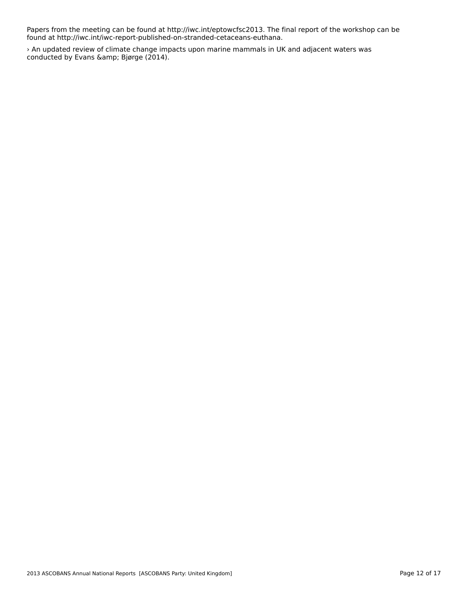Papers from the meeting can be found at http://iwc.int/eptowcfsc2013. The final report of the workshop can be found at http://iwc.int/iwc-report-published-on-stranded-cetaceans-euthana.

> An updated review of climate change impacts upon marine mammals in UK and adjacent waters was conducted by Evans & Bjørge (2014).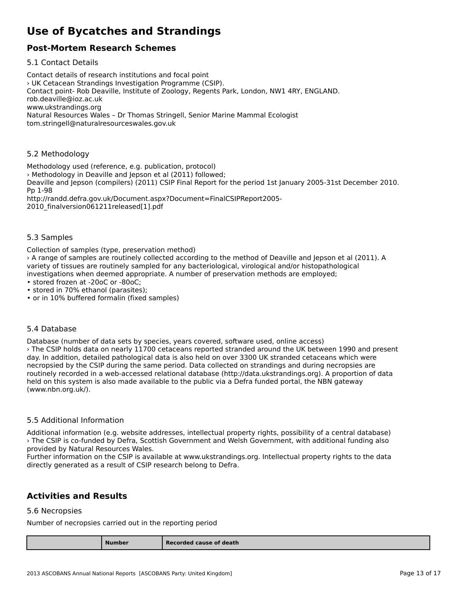## **Use of Bycatches and Strandings**

### **Post-Mortem Research Schemes**

5.1 Contact Details

Contact details of research institutions and focal point › UK Cetacean Strandings Investigation Programme (CSIP). Contact point- Rob Deaville, Institute of Zoology, Regents Park, London, NW1 4RY, ENGLAND. rob.deaville@ioz.ac.uk www.ukstrandings.org www.ukstranunigs.org<br>Natural Resources Wales – Dr Thomas Stringell, Senior Marine Mammal Ecologist tom.stringell@naturalresourceswales.gov.uk

## 5.2 Methodology

Methodology used (reference, e.g. publication, protocol) › Methodology in Deaville and Jepson et al (2011) followed; *I* Methodology in Deaville and Jepson et at (2011) followed,<br>Deaville and Jepson (compilers) (2011) CSIP Final Report for the period 1st January 2005-31st December 2010. http://randd.defra.gov.uk/Document.aspx?Document=FinalCSIPReport2005 nttp://randd.defra.gov.dx/Document.asp/<br>2010\_finalversion061211released[1].pdf

## 5.3 Samples

Collection of samples (type, preservation method)

› A range of samples are routinely collected according to the method of Deaville and Jepson et al (2011). A variety of tissues are routinely sampled for any bacteriological, virological and/or histopathological variety of ussues are fourfliely sampled for any bacteriological, virological and/or instopatific<br>investigations when deemed appropriate. A number of preservation methods are employed; • stored frozen at -20oC or -80oC;

• stored in 70% ethanol (parasites);

• stored in 70% ethanor (parasites),<br>• or in 10% buffered formalin (fixed samples)

#### 5.4 Database

Database (number of data sets by species, years covered, software used, online access) › The CSIP holds data on nearly 11700 cetaceans reported stranded around the UK between 1990 and present The CSIP holds data on hearty 11700 Cetaceans reported stranded around the OK between 1990 and p<br>day. In addition, detailed pathological data is also held on over 3300 UK stranded cetaceans which were routinely recorded in a web-accessed recorded relation. Data concerns the database (http://database.org). A proportion of database (http://database.org). A proportion of database (http://database.org). A proportion of data routinely recorded in a web-accessed relational database (http://data.ukstrandings.org). A proportion of data held on this system is also made available to the public via a Defra funded portal, the NBN gateway (www.nbn.org.uk/).

## 5.5 Additional Information

Additional information (e.g. website addresses, intellectual property rights, possibility of a central database) › The CSIP is co-funded by Defra, Scottish Government and Welsh Government, with additional funding also provided by Natural Resources Wales.

provided by ivatural nesources wales.<br>Further information on the CSIP is available at www.ukstrandings.org. Intellectual property rights to the data directly generated as a result of CSIP research belong to Defra.

#### **Activities and Results**

#### 5.6 Necropsies

Number of necropsies carried out in the reporting period

| <b>Number</b><br>______ | Recorded cause of death |
|-------------------------|-------------------------|
|                         |                         |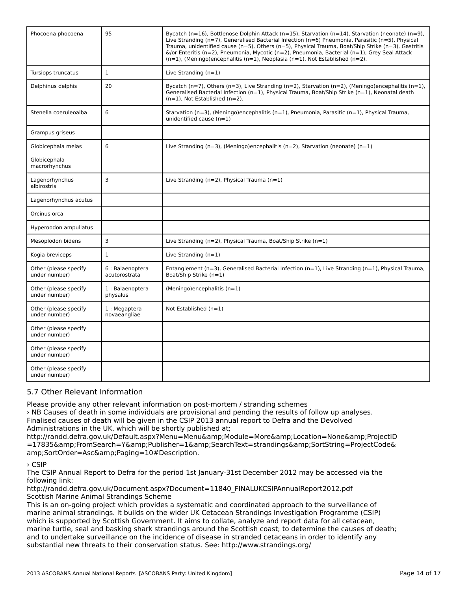| Phocoena phocoena                      | 95                                | Bycatch ( $n=16$ ), Bottlenose Dolphin Attack ( $n=15$ ), Starvation ( $n=14$ ), Starvation (neonate) ( $n=9$ ),<br>Live Stranding (n=7), Generalised Bacterial Infection (n=6) Pneumonia, Parasitic (n=5), Physical<br>Trauma, unidentified cause ( $n=5$ ), Others ( $n=5$ ), Physical Trauma, Boat/Ship Strike ( $n=3$ ), Gastritis<br>$\&$ /or Enteritis (n=2), Pneumonia, Mycotic (n=2), Pneumonia, Bacterial (n=1), Grey Seal Attack<br>$(n=1)$ , (Meningo)encephalitis (n=1), Neoplasia (n=1), Not Established (n=2). |
|----------------------------------------|-----------------------------------|------------------------------------------------------------------------------------------------------------------------------------------------------------------------------------------------------------------------------------------------------------------------------------------------------------------------------------------------------------------------------------------------------------------------------------------------------------------------------------------------------------------------------|
| Tursiops truncatus                     | $\mathbf{1}$                      | Live Stranding $(n=1)$                                                                                                                                                                                                                                                                                                                                                                                                                                                                                                       |
| Delphinus delphis                      | 20                                | Bycatch (n=7), Others (n=3), Live Stranding (n=2), Starvation (n=2), (Meningo)encephalitis (n=1),<br>Generalised Bacterial Infection (n=1), Physical Trauma, Boat/Ship Strike (n=1), Neonatal death<br>$(n=1)$ , Not Established $(n=2)$ .                                                                                                                                                                                                                                                                                   |
| Stenella coeruleoalba                  | 6                                 | Starvation ( $n=3$ ), (Meningo)encephalitis ( $n=1$ ), Pneumonia, Parasitic ( $n=1$ ), Physical Trauma,<br>unidentified cause $(n=1)$                                                                                                                                                                                                                                                                                                                                                                                        |
| Grampus griseus                        |                                   |                                                                                                                                                                                                                                                                                                                                                                                                                                                                                                                              |
| Globicephala melas                     | 6                                 | Live Stranding (n=3), (Meningo)encephalitis (n=2), Starvation (neonate) (n=1)                                                                                                                                                                                                                                                                                                                                                                                                                                                |
| Globicephala<br>macrorhynchus          |                                   |                                                                                                                                                                                                                                                                                                                                                                                                                                                                                                                              |
| Lagenorhynchus<br>albirostris          | 3                                 | Live Stranding ( $n=2$ ), Physical Trauma ( $n=1$ )                                                                                                                                                                                                                                                                                                                                                                                                                                                                          |
| Lagenorhynchus acutus                  |                                   |                                                                                                                                                                                                                                                                                                                                                                                                                                                                                                                              |
| Orcinus orca                           |                                   |                                                                                                                                                                                                                                                                                                                                                                                                                                                                                                                              |
| Hyperoodon ampullatus                  |                                   |                                                                                                                                                                                                                                                                                                                                                                                                                                                                                                                              |
| Mesoplodon bidens                      | 3                                 | Live Stranding ( $n=2$ ), Physical Trauma, Boat/Ship Strike ( $n=1$ )                                                                                                                                                                                                                                                                                                                                                                                                                                                        |
| Kogia breviceps                        | $\mathbf{1}$                      | Live Stranding $(n=1)$                                                                                                                                                                                                                                                                                                                                                                                                                                                                                                       |
| Other (please specify<br>under number) | 6 : Balaenoptera<br>acutorostrata | Entanglement ( $n=3$ ), Generalised Bacterial Infection ( $n=1$ ), Live Stranding ( $n=1$ ), Physical Trauma,<br>Boat/Ship Strike (n=1)                                                                                                                                                                                                                                                                                                                                                                                      |
| Other (please specify<br>under number) | 1: Balaenoptera<br>physalus       | (Meningo)encephalitis (n=1)                                                                                                                                                                                                                                                                                                                                                                                                                                                                                                  |
| Other (please specify<br>under number) | 1 : Megaptera<br>novaeangliae     | Not Established (n=1)                                                                                                                                                                                                                                                                                                                                                                                                                                                                                                        |
| Other (please specify<br>under number) |                                   |                                                                                                                                                                                                                                                                                                                                                                                                                                                                                                                              |
| Other (please specify<br>under number) |                                   |                                                                                                                                                                                                                                                                                                                                                                                                                                                                                                                              |
| Other (please specify<br>under number) |                                   |                                                                                                                                                                                                                                                                                                                                                                                                                                                                                                                              |

#### 5.7 Other Relevant Information

Please provide any other relevant information on post-mortem / stranding schemes

› NB Causes of death in some individuals are provisional and pending the results of follow up analyses. Finalised causes of death will be given in the CSIP 2013 annual report to Defra and the Devolved Administrations in the UK, which will be shortly published at;

Administrations in the OK, which will be shortly published at,<br>http://randd.defra.gov.uk/Default.aspx?Menu=Menu&amp;Module=More&amp;Location=None&amp;ProjectID nttp://ianuu.uenia.gov.uk/Default.aspx:Menu—Menu&amp,Module—More&amp,Eocation—Norle&amp,FrojectiD<br>=17835&amp;FromSearch=Y&amp;Publisher=1&amp;SearchText=strandings&amp;SortString=ProjectCode& amp;SortOrder=Asc&Paging=10#Description.

› CSIP

, esir<br>The CSIP Annual Report to Defra for the period 1st January-31st December 2012 may be accessed via the<br>following links following link:<br>http://randd.defra.gov.uk/Document.aspx?Document=11840\_FINALUKCSIPAnnualReport2012.pdf

nttp://randu.uerra.gov.uk/Document.aspx:L<br>Scottish Marine Animal Strandings Scheme

This is an on-going project which provides a systematic and coordinated approach to the surveillance of marine animal strandings. It builds on the wider UK Cetacean Strandings Investigation Programme (CSIP) which is supported by Scottish Government. It aims to collate, analyze and report data for all cetacean, militims supported by Scottish Government. It alms to collate, analyze and report data for all cetaceari,<br>marine turtle, seal and basking shark strandings around the Scottish coast; to determine the causes of death; niame turne, sear and basking shark strandings around the Scottish coast, to determine the causes or c<br>and to undertake surveillance on the incidence of disease in stranded cetaceans in order to identify any substantial new threats to their conservation status. See: http://www.strandings.org/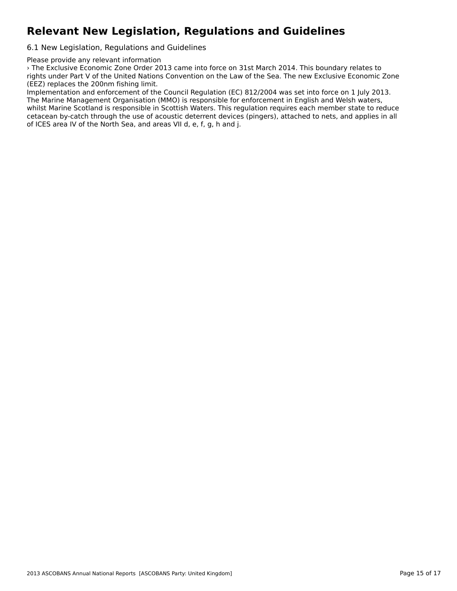## **Relevant New Legislation, Regulations and Guidelines**

6.1 New Legislation, Regulations and Guidelines

Please provide any relevant information

› The Exclusive Economic Zone Order 2013 came into force on 31st March 2014. This boundary relates to rights under Part V of the United Nations Convention on the Law of the Sea. The new Exclusive Economic Zone (EEZ) replaces the 200nm fishing limit.

Implementation and enforcement of the Council Regulation (EC) 812/2004 was set into force on 1 July 2013. miplementation and emorcement of the Council Regulation (EC) 612/2004 was set into force on 1 july 201<br>The Marine Management Organisation (MMO) is responsible for enforcement in English and Welsh waters, The Marine Management Organisation (MMO) is responsible for emorcement in English and Weish Waters,<br>whilst Marine Scotland is responsible in Scottish Waters. This regulation requires each member state to reduce wrinst marrie Scotianu is responsible in Scottish waters. This regulation requires each member state to reduce<br>cetacean by-catch through the use of acoustic deterrent devices (pingers), attached to nets, and applies in all of ICES area IV of the North Sea, and areas VII d, e, f, g, h and j.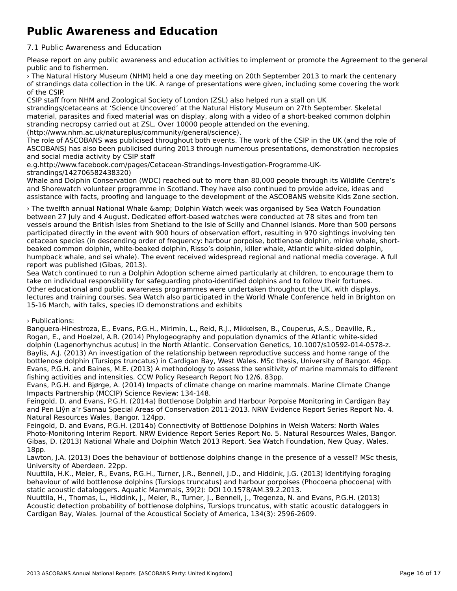## **Public Awareness and Education**

#### 7.1 Public Awareness and Education

Please report on any public awareness and education activities to implement or promote the Agreement to the general riease report on any put<br>public and to fishermen.

› The Natural History Museum (NHM) held a one day meeting on 20th September 2013 to mark the centenary of strandings data collection in the UK. A range of presentations were given, including some covering the work of the CSIP.

CSIP staff from NHM and Zoological Society of London (ZSL) also helped run a stall on UK strandings/cetaceans at 'Science Uncovered' at the Natural History Museum on 27th September. Skeletal material, parasites and fixed material was on display, along with a video of a short-beaked common dolphinstranding necropsy carried out at ZSL. Over 10000 people attended on the evening. (http://www.nhm.ac.uk/natureplus/community/general/science).

 The role of ASCOBANS was publicised throughout both events. The work of the CSIP in the UK (and the role of The fole of ASCOBANS was publicised diffugition both events. The work of the CSIP in the OK (and the fole of<br>ASCOBANS) has also been publicised during 2013 through numerous presentations, demonstration necropsies and social media activity by CSIP staff e.g.http://www.facebook.com/pages/Cetacean-Strandings-Investigation-Programme-UK-

e.g.nc.p.//www.iacebook.com/pa

Whale and Dolphin Conservation (WDC) reached out to more than 80,000 people through its Wildlife Centre's whale and Dolphin Conservation (WDC) reached out to more than 60,000 people through its whalle Centr<br>and Shorewatch volunteer programme in Scotland. They have also continued to provide advice, ideas and and shorewatch volunteer programme in scotiand. They have also continued to provide advice, ideas and<br>assistance with facts, proofing and language to the development of the ASCOBANS website Kids Zone section.

<sup>></sup> The twelfth annual National Whale & amp; Dolphin Watch week was organised by Sea Watch Foundation between 27 July and 4 August. Dedicated effort-based watches were conducted at 78 sites and from ten vessels around the British Isles from Shetland to the Isle of Scilly and Channel Islands. More than 500 persons participated directly in the event with 900 hours of observation effort, resulting in 970 sightings involving ten cetacean species (in descending order of frequency: harbour porpoise, bottlenose dolphin, minke whale, shortbeaked common dolphin, white-beaked dolphin, Risso's dolphin, killer whale, Atlantic white-sided dolphin, beaked common doipmit, white-beaked doipmit, Kisso's doipmit, Killer wriale, Adartic writte-slued doipmit,<br>humpback whale, and sei whale). The event received widespread regional and national media coverage. A full numpback whale, and ser whale). The report was published (Gibas, 2013).

Sea Watch continued to run a Dolphin Adoption scheme aimed particularly at children, to encourage them to take on individual responsibility for safeguarding photo-identified dolphins and to follow their fortunes. take off individual responsibility for safeguarding photo-identified dolphins and to follow their fortunes.<br>Other educational and public awareness programmes were undertaken throughout the UK, with displays, lectures and training courses. Sea Watch also participated in the World Whale Conference held in Brighton on 15-16 March, with talks, species ID demonstrations and exhibits

### › Publications:

Banguera-Hinestroza, E., Evans, P.G.H., Mirimin, L., Reid, R.J., Mikkelsen, B., Couperus, A.S., Deaville, R., Banguera-minestroza, L., Evans, P.G.m., Mimmin, L., Reid, R.J., Mikkeisen, B., Couperus, A.S., Deaville, R.,<br>Rogan, E., and Hoelzel, A.R. (2014) Phylogeography and population dynamics of the Atlantic white-sided dolphin (Lagenorhynchus acutus) in the North Atlantic. Conservation Genetics, 10.1007/s10592-014-0578-z. abiprim (Lagenomynchus acutus) in the North Atlantic. Conservation defletics, 10.1007/310392-014-0370-2.<br>Baylis, A.J. (2013) An investigation of the relationship between reproductive success and home range of the bottlenose dolphin (Tursiops truncatus) in Cardigan Bay, West Wales. MSc thesis, University of Bangor. 46pp. Evans, P.G.H. and Baines, M.E. (2013) A methodology to assess the sensitivity of marine mammals to different fishing activities and intensities. CCW Policy Research Report No 12/6. 83pp.

Evans, P.G.H. and Bjørge, A. (2014) Impacts of climate change on marine mammals. Marine Climate Change Impacts Partnership (MCCIP) Science Review: 134-148.

mipacts Farthership (MCCIF) Science Review. 194-146.<br>Feingold, D. and Evans, P.G.H. (2014a) Bottlenose Dolphin and Harbour Porpoise Monitoring in Cardigan Bay and Pen Llŷn a'r Sarnau Special Areas of Conservation 2011-2013. NRW Evidence Report Series Report No. 4. and Fen Liyn a'r Samad Speciai Areas or G<br>Natural Resources Wales, Bangor. 124pp.

Feingold, D. and Evans, P.G.H. (2014b) Connectivity of Bottlenose Dolphins in Welsh Waters: North Wales Photo-Monitoring Interim Report. NRW Evidence Report Series Report No. 5. Natural Resources Wales, Bangor.Gibas, D. (2013) National Whale and Dolphin Watch 2013 Report. Sea Watch Foundation, New Quay, Wales. 18pp.

Lawton, J.A. (2013) Does the behaviour of bottlenose dolphins change in the presence of a vessel? MSc thesis,University of Aberdeen. 22pp.

Nuuttila, H.K., Meier, R., Evans, P.G.H., Turner, J.R., Bennell, J.D., and Hiddink, J.G. (2013) Identifying foraging behaviour of wild bottlenose dolphins (Tursiops truncatus) and harbour porpoises (Phocoena phocoena) with static acoustic dataloggers. Aquatic Mammals, 39(2): DOI 10.1578/AM.39.2.2013.

static acoustic dataloggers. Aquatic Marifinials, 39(2). Dor 10.1370/AM.39.2.2013.<br>Nuuttila, H., Thomas, L., Hiddink, J., Meier, R., Turner, J., Bennell, J., Tregenza, N. and Evans, P.G.H. (2013) Nuuttila, II., Thomas, E., Muulik, J., Meler, N., Turlier, J., Bennell, J., Negenza, N. and Evans, P.G.II. (2013)<br>Acoustic detection probability of bottlenose dolphins, Tursiops truncatus, with static acoustic dataloggers Cardigan Bay, Wales. Journal of the Acoustical Society of America, 134(3): 2596-2609.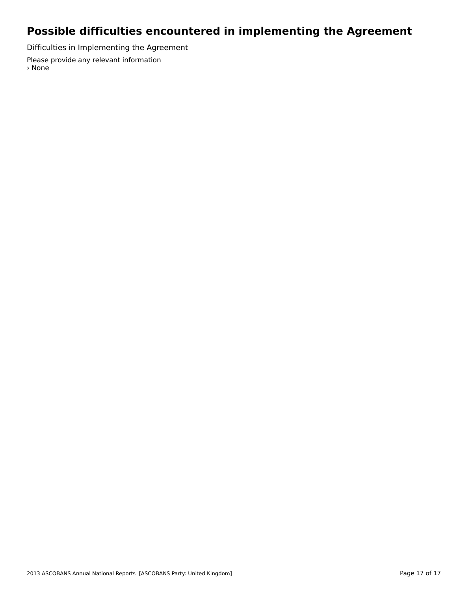## **Possible difficulties encountered in implementing the Agreement**

Difficulties in Implementing the Agreement

Please provide any relevant information › None